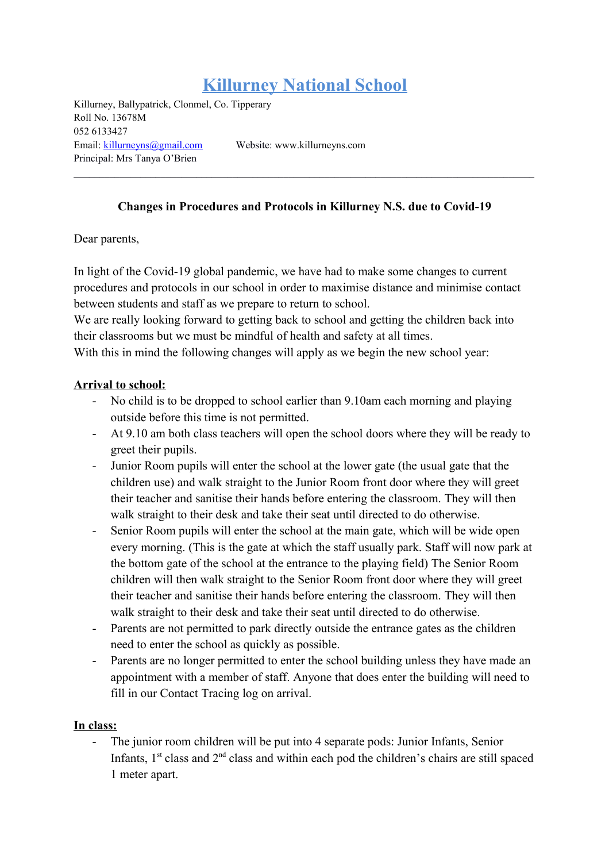# **Killurney National School**

Killurney, Ballypatrick, Clonmel, Co. Tipperary Roll No. 13678M 052 6133427 Email: [killurneyns@gmail.com](mailto:killurneyns@gmail.com) Website: www.killurneyns.com Principal: Mrs Tanya O'Brien

#### **Changes in Procedures and Protocols in Killurney N.S. due to Covid-19**

Dear parents,

In light of the Covid-19 global pandemic, we have had to make some changes to current procedures and protocols in our school in order to maximise distance and minimise contact between students and staff as we prepare to return to school.

We are really looking forward to getting back to school and getting the children back into their classrooms but we must be mindful of health and safety at all times.

With this in mind the following changes will apply as we begin the new school year:

#### **Arrival to school:**

- No child is to be dropped to school earlier than 9.10am each morning and playing outside before this time is not permitted.
- At 9.10 am both class teachers will open the school doors where they will be ready to greet their pupils.
- Junior Room pupils will enter the school at the lower gate (the usual gate that the children use) and walk straight to the Junior Room front door where they will greet their teacher and sanitise their hands before entering the classroom. They will then walk straight to their desk and take their seat until directed to do otherwise.
- Senior Room pupils will enter the school at the main gate, which will be wide open every morning. (This is the gate at which the staff usually park. Staff will now park at the bottom gate of the school at the entrance to the playing field) The Senior Room children will then walk straight to the Senior Room front door where they will greet their teacher and sanitise their hands before entering the classroom. They will then walk straight to their desk and take their seat until directed to do otherwise.
- Parents are not permitted to park directly outside the entrance gates as the children need to enter the school as quickly as possible.
- Parents are no longer permitted to enter the school building unless they have made an appointment with a member of staff. Anyone that does enter the building will need to fill in our Contact Tracing log on arrival.

#### **In class:**

The junior room children will be put into 4 separate pods: Junior Infants, Senior Infants,  $1<sup>st</sup>$  class and  $2<sup>nd</sup>$  class and within each pod the children's chairs are still spaced 1 meter apart.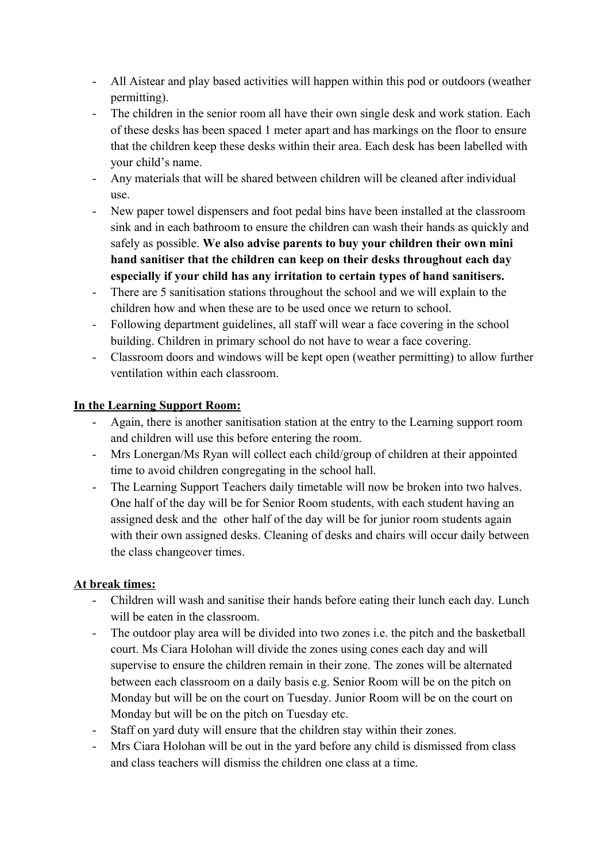- All Aistear and play based activities will happen within this pod or outdoors (weather permitting).
- The children in the senior room all have their own single desk and work station. Each of these desks has been spaced 1 meter apart and has markings on the floor to ensure that the children keep these desks within their area. Each desk has been labelled with your child's name.
- Any materials that will be shared between children will be cleaned after individual use.
- New paper towel dispensers and foot pedal bins have been installed at the classroom sink and in each bathroom to ensure the children can wash their hands as quickly and safely as possible. **We also advise parents to buy your children their own mini hand sanitiser that the children can keep on their desks throughout each day especially if your child has any irritation to certain types of hand sanitisers.**
- There are 5 sanitisation stations throughout the school and we will explain to the children how and when these are to be used once we return to school.
- Following department guidelines, all staff will wear a face covering in the school building. Children in primary school do not have to wear a face covering.
- Classroom doors and windows will be kept open (weather permitting) to allow further ventilation within each classroom.

## **In the Learning Support Room:**

- Again, there is another sanitisation station at the entry to the Learning support room and children will use this before entering the room.
- Mrs Lonergan/Ms Ryan will collect each child/group of children at their appointed time to avoid children congregating in the school hall.
- The Learning Support Teachers daily timetable will now be broken into two halves. One half of the day will be for Senior Room students, with each student having an assigned desk and the other half of the day will be for junior room students again with their own assigned desks. Cleaning of desks and chairs will occur daily between the class changeover times.

## **At break times:**

- Children will wash and sanitise their hands before eating their lunch each day. Lunch will be eaten in the classroom.
- The outdoor play area will be divided into two zones i.e. the pitch and the basketball court. Ms Ciara Holohan will divide the zones using cones each day and will supervise to ensure the children remain in their zone. The zones will be alternated between each classroom on a daily basis e.g. Senior Room will be on the pitch on Monday but will be on the court on Tuesday. Junior Room will be on the court on Monday but will be on the pitch on Tuesday etc.
- Staff on yard duty will ensure that the children stay within their zones.
- Mrs Ciara Holohan will be out in the yard before any child is dismissed from class and class teachers will dismiss the children one class at a time.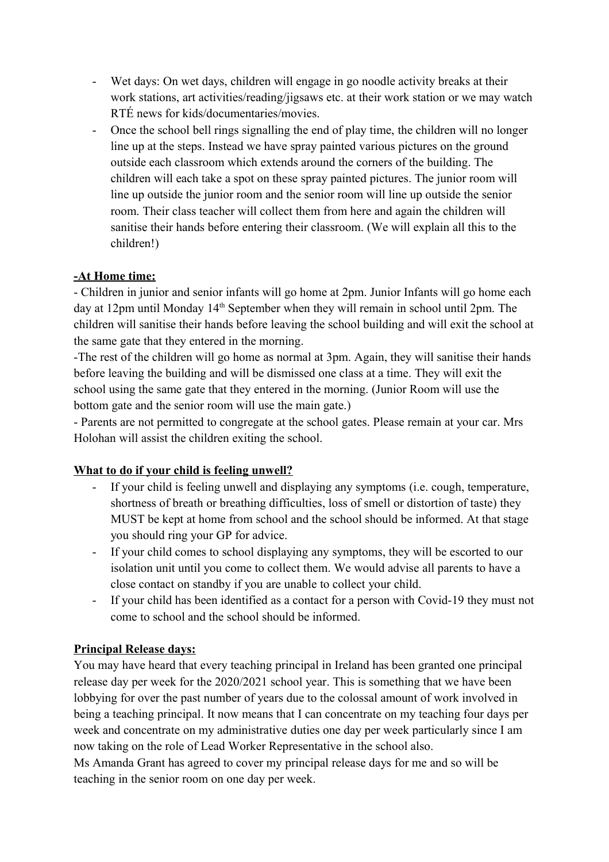- Wet days: On wet days, children will engage in go noodle activity breaks at their work stations, art activities/reading/jigsaws etc. at their work station or we may watch RTÉ news for kids/documentaries/movies.
- Once the school bell rings signalling the end of play time, the children will no longer line up at the steps. Instead we have spray painted various pictures on the ground outside each classroom which extends around the corners of the building. The children will each take a spot on these spray painted pictures. The junior room will line up outside the junior room and the senior room will line up outside the senior room. Their class teacher will collect them from here and again the children will sanitise their hands before entering their classroom. (We will explain all this to the children!)

## **-At Home time:**

- Children in junior and senior infants will go home at 2pm. Junior Infants will go home each day at 12pm until Monday 14<sup>th</sup> September when they will remain in school until 2pm. The children will sanitise their hands before leaving the school building and will exit the school at the same gate that they entered in the morning.

-The rest of the children will go home as normal at 3pm. Again, they will sanitise their hands before leaving the building and will be dismissed one class at a time. They will exit the school using the same gate that they entered in the morning. (Junior Room will use the bottom gate and the senior room will use the main gate.)

- Parents are not permitted to congregate at the school gates. Please remain at your car. Mrs Holohan will assist the children exiting the school.

# **What to do if your child is feeling unwell?**

- If your child is feeling unwell and displaying any symptoms (i.e. cough, temperature, shortness of breath or breathing difficulties, loss of smell or distortion of taste) they MUST be kept at home from school and the school should be informed. At that stage you should ring your GP for advice.
- If your child comes to school displaying any symptoms, they will be escorted to our isolation unit until you come to collect them. We would advise all parents to have a close contact on standby if you are unable to collect your child.
- If your child has been identified as a contact for a person with Covid-19 they must not come to school and the school should be informed.

## **Principal Release days:**

You may have heard that every teaching principal in Ireland has been granted one principal release day per week for the 2020/2021 school year. This is something that we have been lobbying for over the past number of years due to the colossal amount of work involved in being a teaching principal. It now means that I can concentrate on my teaching four days per week and concentrate on my administrative duties one day per week particularly since I am now taking on the role of Lead Worker Representative in the school also.

Ms Amanda Grant has agreed to cover my principal release days for me and so will be teaching in the senior room on one day per week.